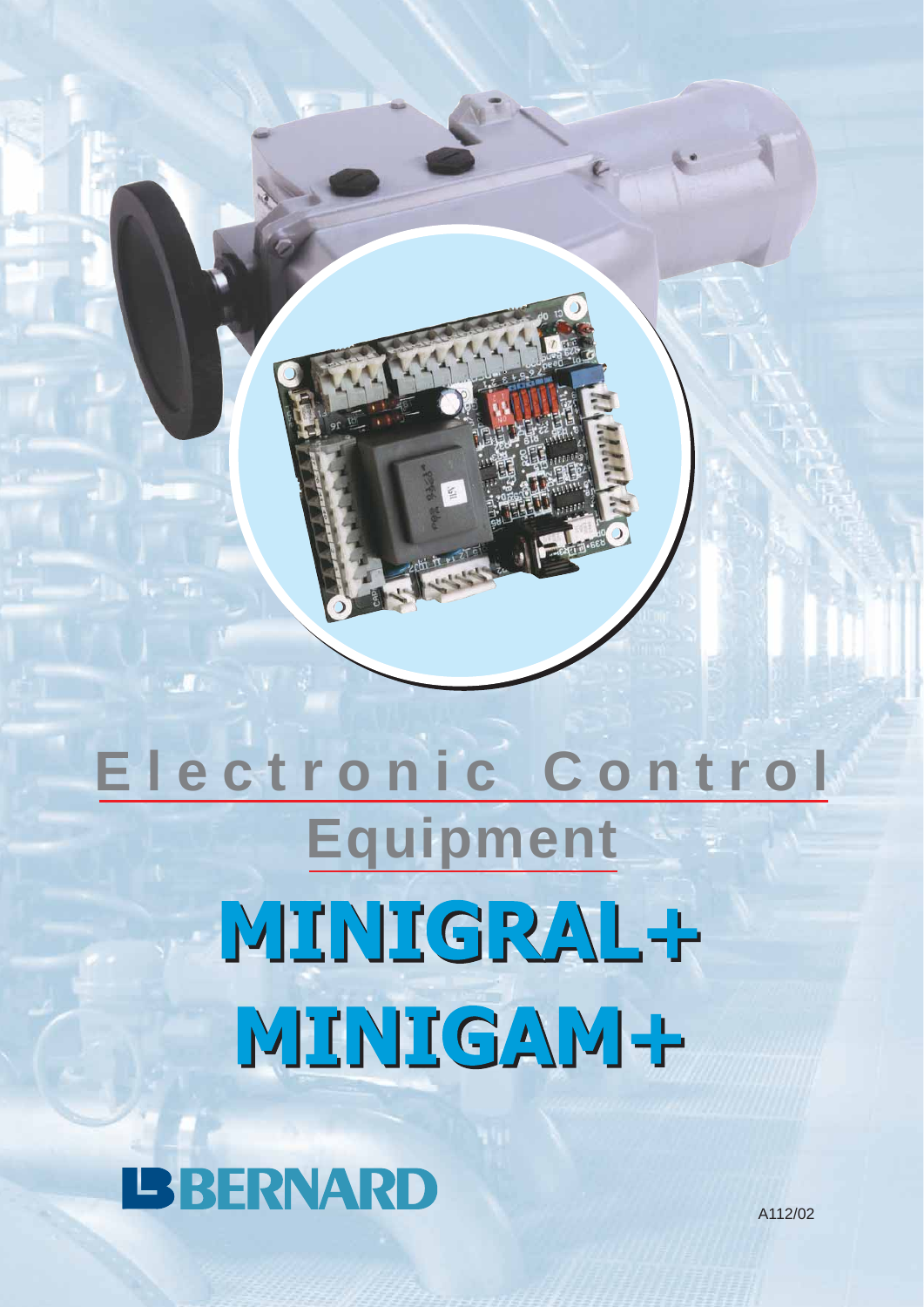# **Electronic Control Equipment** MINIGRAL-P MINIGAM-

**IBBERNARD** 

A112/02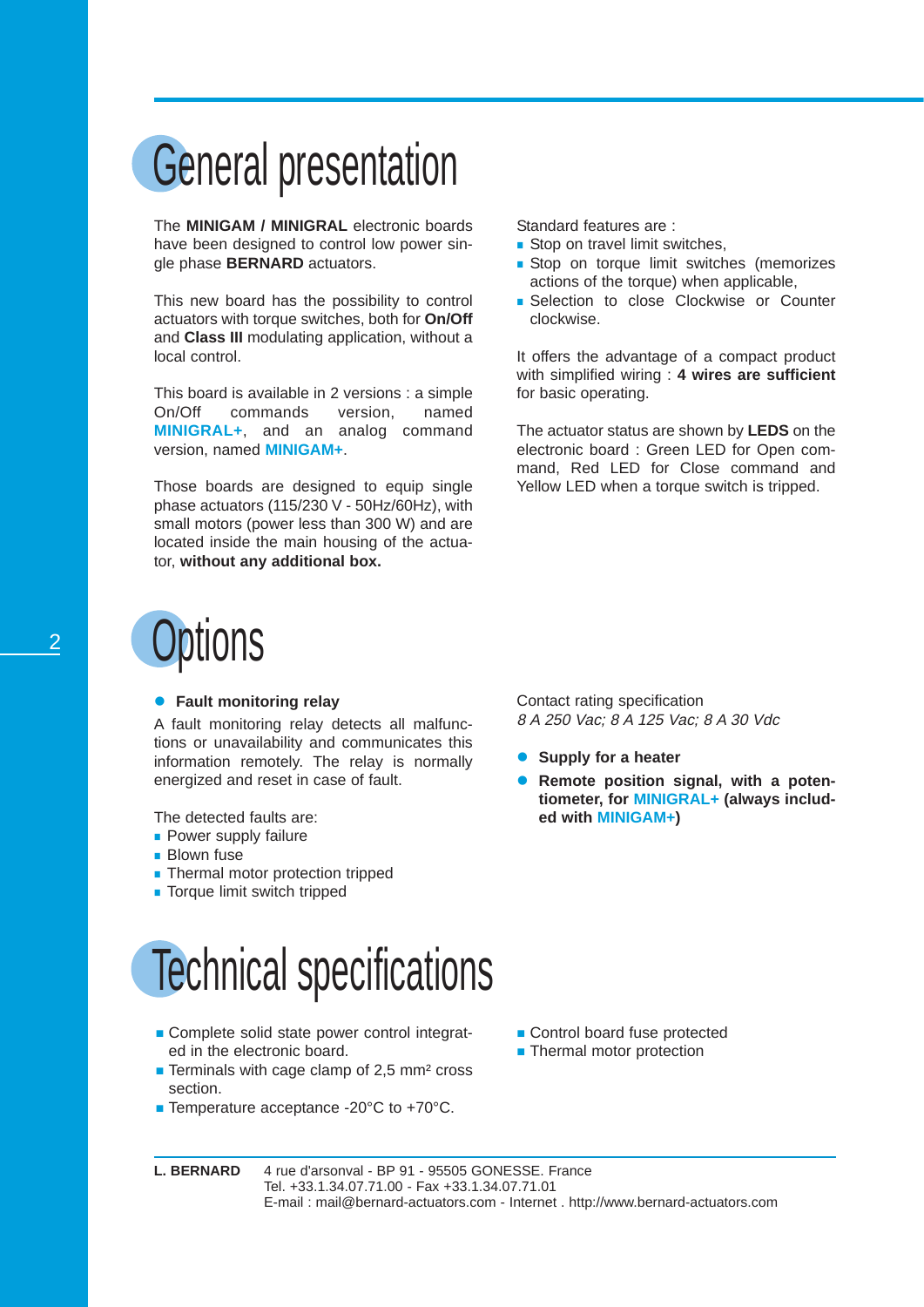### General presentation

The **MINIGAM / MINIGRAL** electronic boards have been designed to control low power single phase **BERNARD** actuators.

This new board has the possibility to control actuators with torque switches, both for **On/Off** and **Class III** modulating application, without a local control.

This board is available in 2 versions : a simple On/Off commands version, named **MINIGRAL+**, and an analog command version, named **MINIGAM+**.

Those boards are designed to equip single phase actuators (115/230 V - 50Hz/60Hz), with small motors (power less than 300 W) and are located inside the main housing of the actuator, **without any additional box.**

### <sup>2</sup> Options

#### **• Fault monitoring relay**

A fault monitoring relay detects all malfunctions or unavailability and communicates this information remotely. The relay is normally energized and reset in case of fault.

The detected faults are:

- **Power supply failure**
- **Blown fuse**
- **Thermal motor protection tripped**
- **Torque limit switch tripped**

### Technical specifications

- Complete solid state power control integrated in the electronic board.
- Terminals with cage clamp of 2,5 mm<sup>2</sup> cross section.
- Temperature acceptance -20°C to +70°C.

Standard features are :

- Stop on travel limit switches,
- **Stop on torque limit switches (memorizes** actions of the torque) when applicable,
- Selection to close Clockwise or Counter clockwise.

It offers the advantage of a compact product with simplified wiring : **4 wires are sufficient** for basic operating.

The actuator status are shown by **LEDS** on the electronic board : Green LED for Open command, Red LED for Close command and Yellow LED when a torque switch is tripped.

Contact rating specification 8 A 250 Vac; 8 A 125 Vac; 8 A 30 Vdc

- **Supply for a heater**
- Remote position signal, with a poten**tiometer, for MINIGRAL+ (always included with MINIGAM+)**

- Control board fuse protected
- **Thermal motor protection**

L. BERNARD 4 rue d'arsonval - BP 91 - 95505 GONESSE. France Tel. +33.1.34.07.71.00 - Fax +33.1.34.07.71.01 E-mail : mail@bernard-actuators.com - Internet . http://www.bernard-actuators.com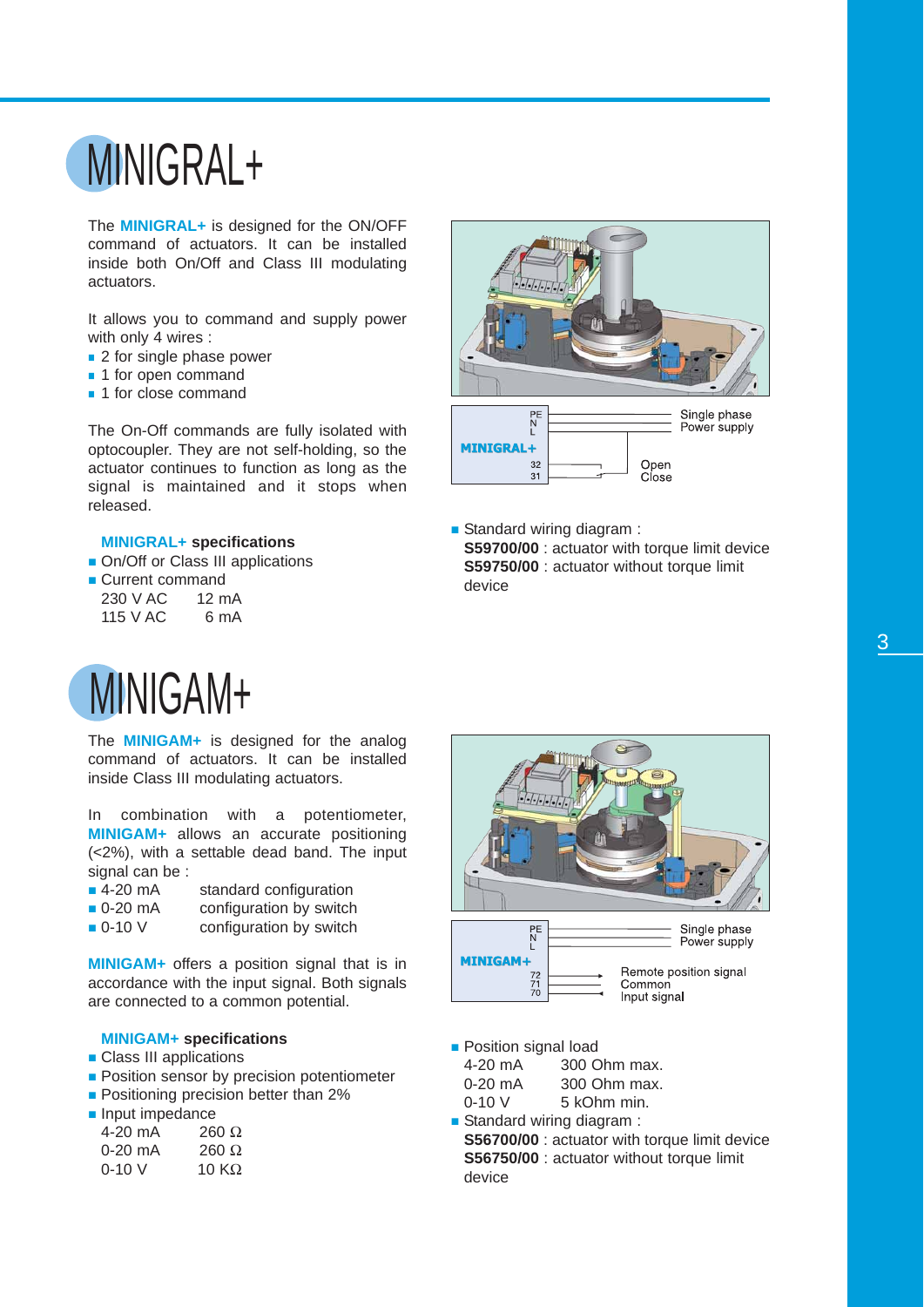## MINIGRAL+

The **MINIGRAL+** is designed for the ON/OFF command of actuators. It can be installed inside both On/Off and Class III modulating actuators.

It allows you to command and supply power with only 4 wires :

- 2 for single phase power
- 1 for open command
- **1** 1 for close command

The On-Off commands are fully isolated with optocoupler. They are not self-holding, so the actuator continues to function as long as the signal is maintained and it stops when released.

#### **MINIGRAL+ specifications**

- On/Off or Class III applications
- Current command

| 230 V AC | $12 \text{ mA}$ |
|----------|-----------------|
| 115 V AC | 6 mA            |



Standard wiring diagram : **S59700/00** : actuator with torque limit device **S59750/00** : actuator without torque limit device

#### MINIGAM+

The **MINIGAM+** is designed for the analog command of actuators. It can be installed inside Class III modulating actuators.

In combination with a potentiometer, **MINIGAM+** allows an accurate positioning (<2%), with a settable dead band. The input signal can be :

- 4-20 mA standard configuration<br>■ 0-20 mA configuration by switch
- $\bullet$  0-20 mA configuration by switch  $\bullet$  0-10 V configuration by switch
- configuration by switch

**MINIGAM+** offers a position signal that is in accordance with the input signal. Both signals are connected to a common potential.

#### **MINIGAM+ specifications**

- **Class III applications**
- **Position sensor by precision potentiometer**
- **Positioning precision better than 2%**

|  | Input impedance |
|--|-----------------|
|--|-----------------|

| 4-20 mA   | $260 \Omega$  |
|-----------|---------------|
| $0-20$ mA | 260 $\Omega$  |
| $0 - 10V$ | 10 K $\Omega$ |



**Position signal load** 

| 4-20 mA   | 300 Ohm max. |
|-----------|--------------|
| $0-20$ mA | 300 Ohm max. |
| $0 - 10V$ | 5 kOhm min.  |

- Standard wiring diagram :
	- **S56700/00** : actuator with torque limit device **S56750/00** : actuator without torque limit device